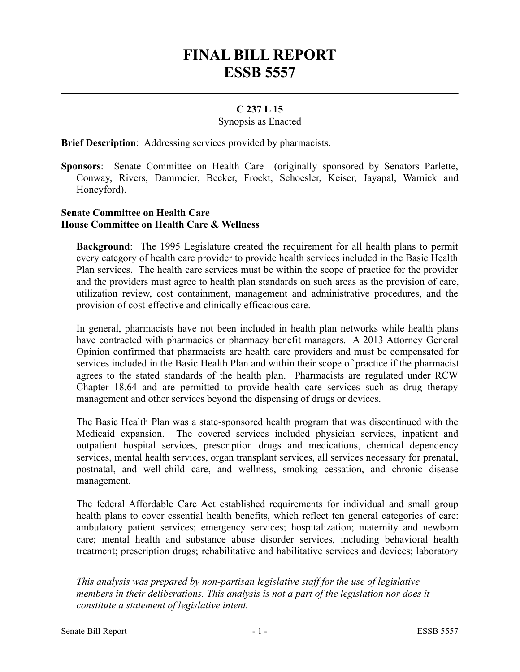# **FINAL BILL REPORT ESSB 5557**

# **C 237 L 15**

## Synopsis as Enacted

**Brief Description**: Addressing services provided by pharmacists.

**Sponsors**: Senate Committee on Health Care (originally sponsored by Senators Parlette, Conway, Rivers, Dammeier, Becker, Frockt, Schoesler, Keiser, Jayapal, Warnick and Honeyford).

## **Senate Committee on Health Care House Committee on Health Care & Wellness**

**Background**: The 1995 Legislature created the requirement for all health plans to permit every category of health care provider to provide health services included in the Basic Health Plan services. The health care services must be within the scope of practice for the provider and the providers must agree to health plan standards on such areas as the provision of care, utilization review, cost containment, management and administrative procedures, and the provision of cost-effective and clinically efficacious care.

In general, pharmacists have not been included in health plan networks while health plans have contracted with pharmacies or pharmacy benefit managers. A 2013 Attorney General Opinion confirmed that pharmacists are health care providers and must be compensated for services included in the Basic Health Plan and within their scope of practice if the pharmacist agrees to the stated standards of the health plan. Pharmacists are regulated under RCW Chapter 18.64 and are permitted to provide health care services such as drug therapy management and other services beyond the dispensing of drugs or devices.

The Basic Health Plan was a state-sponsored health program that was discontinued with the Medicaid expansion. The covered services included physician services, inpatient and outpatient hospital services, prescription drugs and medications, chemical dependency services, mental health services, organ transplant services, all services necessary for prenatal, postnatal, and well-child care, and wellness, smoking cessation, and chronic disease management.

The federal Affordable Care Act established requirements for individual and small group health plans to cover essential health benefits, which reflect ten general categories of care: ambulatory patient services; emergency services; hospitalization; maternity and newborn care; mental health and substance abuse disorder services, including behavioral health treatment; prescription drugs; rehabilitative and habilitative services and devices; laboratory

––––––––––––––––––––––

*This analysis was prepared by non-partisan legislative staff for the use of legislative members in their deliberations. This analysis is not a part of the legislation nor does it constitute a statement of legislative intent.*